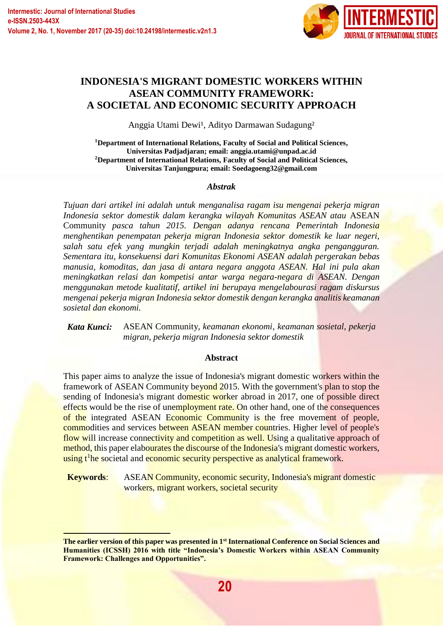$\overline{a}$ 



# **INDONESIA'S MIGRANT DOMESTIC WORKERS WITHIN ASEAN COMMUNITY FRAMEWORK: A SOCIETAL AND ECONOMIC SECURITY APPROACH**

Anggia Utami Dewi<sup>1</sup>, Adityo Darmawan Sudagung<sup>2</sup>

**<sup>1</sup>Department of International Relations, Faculty of Social and Political Sciences, Universitas Padjadjaran; email: anggia.utami@unpad.ac.id <sup>2</sup>Department of International Relations, Faculty of Social and Political Sciences, Universitas Tanjungpura; email: Soedagoeng32@gmail.com** 

#### *Abstrak*

*Tujuan dari artikel ini adalah untuk menganalisa ragam isu mengenai pekerja migran Indonesia sektor domestik dalam kerangka wilayah Komunitas ASEAN atau* ASEAN Community *pasca tahun 2015. Dengan adanya rencana Pemerintah Indonesia menghentikan penempatan pekerja migran Indonesia sektor domestik ke luar negeri, salah satu efek yang mungkin terjadi adalah meningkatnya angka pengangguran. Sementara itu, konsekuensi dari Komunitas Ekonomi ASEAN adalah pergerakan bebas manusia, komoditas, dan jasa di antara negara anggota ASEAN. Hal ini pula akan meningkatkan relasi dan kompetisi antar warga negara-negara di ASEAN. Dengan menggunakan metode kualitatif, artikel ini berupaya mengelabourasi ragam diskursus mengenai pekerja migran Indonesia sektor domestik dengan kerangka analitis keamanan sosietal dan ekonomi.*

*Kata Kunci:* ASEAN Community*, keamanan ekonomi, keamanan sosietal, pekerja migran, pekerja migran Indonesia sektor domestik*

#### **Abstract**

This paper aims to analyze the issue of Indonesia's migrant domestic workers within the framework of ASEAN Community beyond 2015. With the government's plan to stop the sending of Indonesia's migrant domestic worker abroad in 2017, one of possible direct effects would be the rise of unemployment rate. On other hand, one of the consequences of the integrated ASEAN Economic Community is the free movement of people, commodities and services between ASEAN member countries. Higher level of people's flow will increase connectivity and competition as well. Using a qualitative approach of method, this paper elabourates the discourse of the Indonesia's migrant domestic workers, using t<sup>1</sup>he societal and economic security perspective as analytical framework.

**Keywords**: ASEAN Community, economic security, Indonesia's migrant domestic workers, migrant workers, societal security

**The earlier version of this paper was presented in 1st International Conference on Social Sciences and Humanities (ICSSH) 2016 with title "Indonesia's Domestic Workers within ASEAN Community Framework: Challenges and Opportunities".**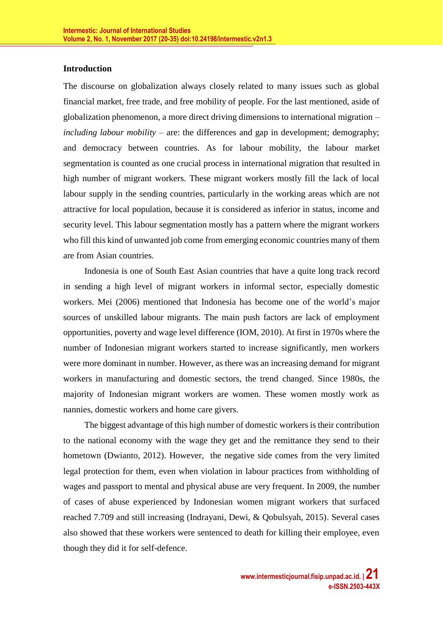#### **Introduction**

The discourse on globalization always closely related to many issues such as global financial market, free trade, and free mobility of people. For the last mentioned, aside of globalization phenomenon, a more direct driving dimensions to international migration – *including labour mobility* – are: the differences and gap in development; demography; and democracy between countries. As for labour mobility, the labour market segmentation is counted as one crucial process in international migration that resulted in high number of migrant workers. These migrant workers mostly fill the lack of local labour supply in the sending countries, particularly in the working areas which are not attractive for local population, because it is considered as inferior in status, income and security level. This labour segmentation mostly has a pattern where the migrant workers who fill this kind of unwanted job come from emerging economic countries many of them are from Asian countries.

Indonesia is one of South East Asian countries that have a quite long track record in sending a high level of migrant workers in informal sector, especially domestic workers. Mei (2006) mentioned that Indonesia has become one of the world's major sources of unskilled labour migrants. The main push factors are lack of employment opportunities, poverty and wage level difference (IOM, 2010). At first in 1970s where the number of Indonesian migrant workers started to increase significantly, men workers were more dominant in number. However, as there was an increasing demand for migrant workers in manufacturing and domestic sectors, the trend changed. Since 1980s, the majority of Indonesian migrant workers are women. These women mostly work as nannies, domestic workers and home care givers.

The biggest advantage of this high number of domestic workers is their contribution to the national economy with the wage they get and the remittance they send to their hometown (Dwianto, 2012). However, the negative side comes from the very limited legal protection for them, even when violation in labour practices from withholding of wages and passport to mental and physical abuse are very frequent. In 2009, the number of cases of abuse experienced by Indonesian women migrant workers that surfaced reached 7.709 and still increasing (Indrayani, Dewi, & Qobulsyah, 2015). Several cases also showed that these workers were sentenced to death for killing their employee, even though they did it for self-defence.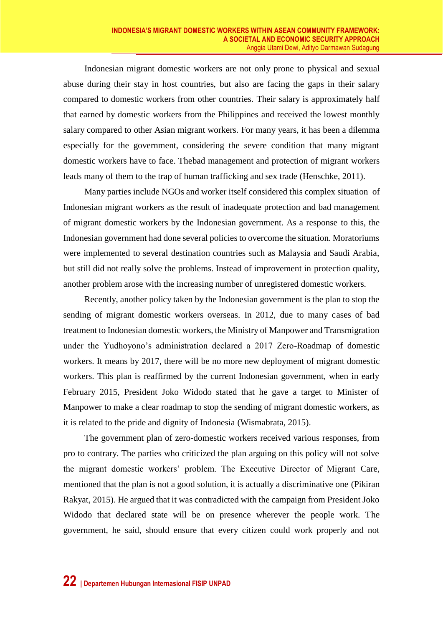Indonesian migrant domestic workers are not only prone to physical and sexual abuse during their stay in host countries, but also are facing the gaps in their salary compared to domestic workers from other countries. Their salary is approximately half that earned by domestic workers from the Philippines and received the lowest monthly salary compared to other Asian migrant workers. For many years, it has been a dilemma especially for the government, considering the severe condition that many migrant domestic workers have to face. Thebad management and protection of migrant workers leads many of them to the trap of human trafficking and sex trade (Henschke, 2011).

Many parties include NGOs and worker itself considered this complex situation of Indonesian migrant workers as the result of inadequate protection and bad management of migrant domestic workers by the Indonesian government. As a response to this, the Indonesian government had done several policies to overcome the situation. Moratoriums were implemented to several destination countries such as Malaysia and Saudi Arabia, but still did not really solve the problems. Instead of improvement in protection quality, another problem arose with the increasing number of unregistered domestic workers.

Recently, another policy taken by the Indonesian government is the plan to stop the sending of migrant domestic workers overseas. In 2012, due to many cases of bad treatment to Indonesian domestic workers, the Ministry of Manpower and Transmigration under the Yudhoyono's administration declared a 2017 Zero-Roadmap of domestic workers. It means by 2017, there will be no more new deployment of migrant domestic workers. This plan is reaffirmed by the current Indonesian government, when in early February 2015, President Joko Widodo stated that he gave a target to Minister of Manpower to make a clear roadmap to stop the sending of migrant domestic workers, as it is related to the pride and dignity of Indonesia (Wismabrata, 2015).

The government plan of zero-domestic workers received various responses, from pro to contrary. The parties who criticized the plan arguing on this policy will not solve the migrant domestic workers' problem. The Executive Director of Migrant Care, mentioned that the plan is not a good solution, it is actually a discriminative one (Pikiran Rakyat, 2015). He argued that it was contradicted with the campaign from President Joko Widodo that declared state will be on presence wherever the people work. The government, he said, should ensure that every citizen could work properly and not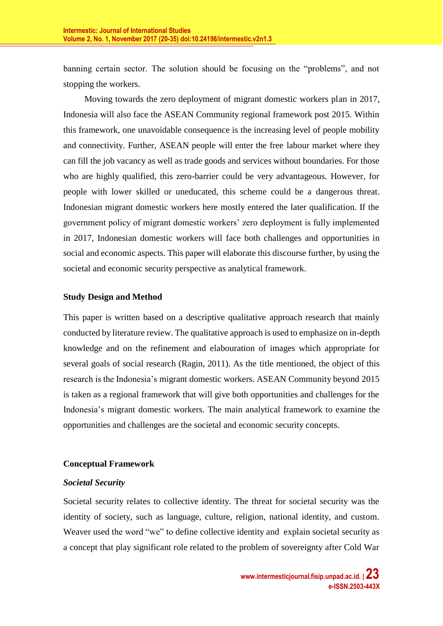banning certain sector. The solution should be focusing on the "problems", and not stopping the workers.

Moving towards the zero deployment of migrant domestic workers plan in 2017, Indonesia will also face the ASEAN Community regional framework post 2015. Within this framework, one unavoidable consequence is the increasing level of people mobility and connectivity. Further, ASEAN people will enter the free labour market where they can fill the job vacancy as well as trade goods and services without boundaries. For those who are highly qualified, this zero-barrier could be very advantageous. However, for people with lower skilled or uneducated, this scheme could be a dangerous threat. Indonesian migrant domestic workers here mostly entered the later qualification. If the government policy of migrant domestic workers' zero deployment is fully implemented in 2017, Indonesian domestic workers will face both challenges and opportunities in social and economic aspects. This paper will elaborate this discourse further, by using the societal and economic security perspective as analytical framework.

## **Study Design and Method**

This paper is written based on a descriptive qualitative approach research that mainly conducted by literature review. The qualitative approach is used to emphasize on in-depth knowledge and on the refinement and elabouration of images which appropriate for several goals of social research (Ragin, 2011). As the title mentioned, the object of this research is the Indonesia's migrant domestic workers. ASEAN Community beyond 2015 is taken as a regional framework that will give both opportunities and challenges for the Indonesia's migrant domestic workers. The main analytical framework to examine the opportunities and challenges are the societal and economic security concepts.

# **Conceptual Framework**

## *Societal Security*

Societal security relates to collective identity. The threat for societal security was the identity of society, such as language, culture, religion, national identity, and custom. Weaver used the word "we" to define collective identity and explain societal security as a concept that play significant role related to the problem of sovereignty after Cold War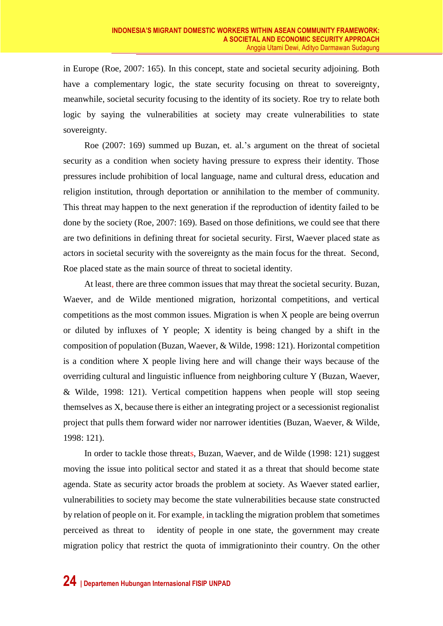in Europe (Roe, 2007: 165). In this concept, state and societal security adjoining. Both have a complementary logic, the state security focusing on threat to sovereignty, meanwhile, societal security focusing to the identity of its society. Roe try to relate both logic by saying the vulnerabilities at society may create vulnerabilities to state sovereignty.

Roe (2007: 169) summed up Buzan, et. al.'s argument on the threat of societal security as a condition when society having pressure to express their identity. Those pressures include prohibition of local language, name and cultural dress, education and religion institution, through deportation or annihilation to the member of community. This threat may happen to the next generation if the reproduction of identity failed to be done by the society (Roe, 2007: 169). Based on those definitions, we could see that there are two definitions in defining threat for societal security. First, Waever placed state as actors in societal security with the sovereignty as the main focus for the threat. Second, Roe placed state as the main source of threat to societal identity.

At least, there are three common issues that may threat the societal security. Buzan, Waever, and de Wilde mentioned migration, horizontal competitions, and vertical competitions as the most common issues. Migration is when X people are being overrun or diluted by influxes of Y people; X identity is being changed by a shift in the composition of population (Buzan, Waever, & Wilde, 1998: 121). Horizontal competition is a condition where X people living here and will change their ways because of the overriding cultural and linguistic influence from neighboring culture Y (Buzan, Waever, & Wilde, 1998: 121). Vertical competition happens when people will stop seeing themselves as X, because there is either an integrating project or a secessionist regionalist project that pulls them forward wider nor narrower identities (Buzan, Waever, & Wilde, 1998: 121).

In order to tackle those threats, Buzan, Waever, and de Wilde (1998: 121) suggest moving the issue into political sector and stated it as a threat that should become state agenda. State as security actor broads the problem at society. As Waever stated earlier, vulnerabilities to society may become the state vulnerabilities because state constructed by relation of people on it. For example, in tackling the migration problem that sometimes perceived as threat to identity of people in one state, the government may create migration policy that restrict the quota of immigrationinto their country. On the other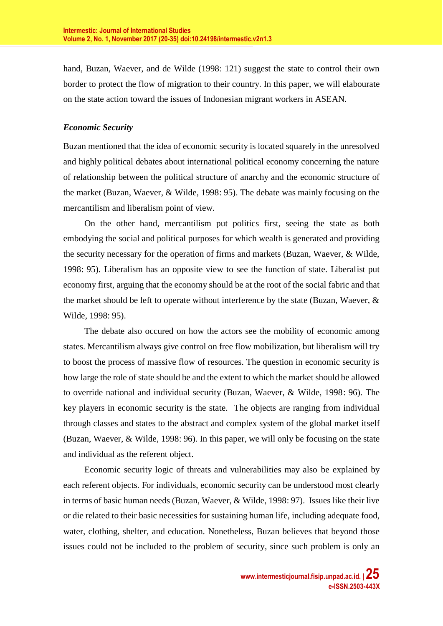hand, Buzan, Waever, and de Wilde (1998: 121) suggest the state to control their own border to protect the flow of migration to their country. In this paper, we will elabourate on the state action toward the issues of Indonesian migrant workers in ASEAN.

# *Economic Security*

Buzan mentioned that the idea of economic security is located squarely in the unresolved and highly political debates about international political economy concerning the nature of relationship between the political structure of anarchy and the economic structure of the market (Buzan, Waever, & Wilde, 1998: 95). The debate was mainly focusing on the mercantilism and liberalism point of view.

On the other hand, mercantilism put politics first, seeing the state as both embodying the social and political purposes for which wealth is generated and providing the security necessary for the operation of firms and markets (Buzan, Waever, & Wilde, 1998: 95). Liberalism has an opposite view to see the function of state. Liberalist put economy first, arguing that the economy should be at the root of the social fabric and that the market should be left to operate without interference by the state (Buzan, Waever,  $\&$ Wilde, 1998: 95).

The debate also occured on how the actors see the mobility of economic among states. Mercantilism always give control on free flow mobilization, but liberalism will try to boost the process of massive flow of resources. The question in economic security is how large the role of state should be and the extent to which the market should be allowed to override national and individual security (Buzan, Waever, & Wilde, 1998: 96). The key players in economic security is the state. The objects are ranging from individual through classes and states to the abstract and complex system of the global market itself (Buzan, Waever, & Wilde, 1998: 96). In this paper, we will only be focusing on the state and individual as the referent object.

Economic security logic of threats and vulnerabilities may also be explained by each referent objects. For individuals, economic security can be understood most clearly in terms of basic human needs (Buzan, Waever, & Wilde, 1998: 97). Issues like their live or die related to their basic necessities for sustaining human life, including adequate food, water, clothing, shelter, and education. Nonetheless, Buzan believes that beyond those issues could not be included to the problem of security, since such problem is only an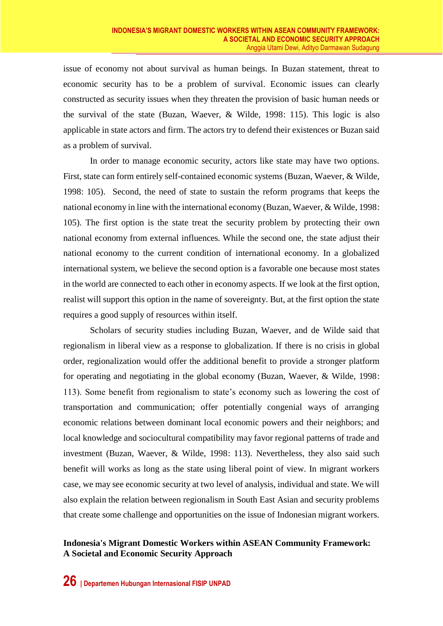issue of economy not about survival as human beings. In Buzan statement, threat to economic security has to be a problem of survival. Economic issues can clearly constructed as security issues when they threaten the provision of basic human needs or the survival of the state (Buzan, Waever, & Wilde, 1998: 115). This logic is also applicable in state actors and firm. The actors try to defend their existences or Buzan said as a problem of survival.

In order to manage economic security, actors like state may have two options. First, state can form entirely self-contained economic systems (Buzan, Waever, & Wilde, 1998: 105). Second, the need of state to sustain the reform programs that keeps the national economy in line with the international economy (Buzan, Waever, & Wilde, 1998: 105). The first option is the state treat the security problem by protecting their own national economy from external influences. While the second one, the state adjust their national economy to the current condition of international economy. In a globalized international system, we believe the second option is a favorable one because most states in the world are connected to each other in economy aspects. If we look at the first option, realist will support this option in the name of sovereignty. But, at the first option the state requires a good supply of resources within itself.

Scholars of security studies including Buzan, Waever, and de Wilde said that regionalism in liberal view as a response to globalization. If there is no crisis in global order, regionalization would offer the additional benefit to provide a stronger platform for operating and negotiating in the global economy (Buzan, Waever, & Wilde, 1998: 113). Some benefit from regionalism to state's economy such as lowering the cost of transportation and communication; offer potentially congenial ways of arranging economic relations between dominant local economic powers and their neighbors; and local knowledge and sociocultural compatibility may favor regional patterns of trade and investment (Buzan, Waever, & Wilde, 1998: 113). Nevertheless, they also said such benefit will works as long as the state using liberal point of view. In migrant workers case, we may see economic security at two level of analysis, individual and state. We will also explain the relation between regionalism in South East Asian and security problems that create some challenge and opportunities on the issue of Indonesian migrant workers.

## **Indonesia's Migrant Domestic Workers within ASEAN Community Framework: A Societal and Economic Security Approach**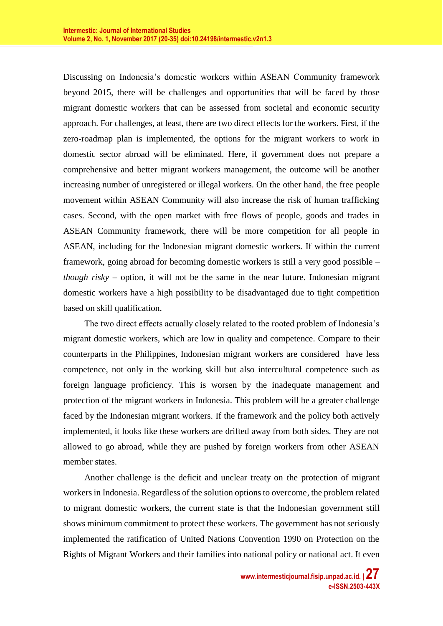Discussing on Indonesia's domestic workers within ASEAN Community framework beyond 2015, there will be challenges and opportunities that will be faced by those migrant domestic workers that can be assessed from societal and economic security approach. For challenges, at least, there are two direct effects for the workers. First, if the zero-roadmap plan is implemented, the options for the migrant workers to work in domestic sector abroad will be eliminated. Here, if government does not prepare a comprehensive and better migrant workers management, the outcome will be another increasing number of unregistered or illegal workers. On the other hand, the free people movement within ASEAN Community will also increase the risk of human trafficking cases. Second, with the open market with free flows of people, goods and trades in ASEAN Community framework, there will be more competition for all people in ASEAN, including for the Indonesian migrant domestic workers. If within the current framework, going abroad for becoming domestic workers is still a very good possible – *though risky* – option, it will not be the same in the near future. Indonesian migrant domestic workers have a high possibility to be disadvantaged due to tight competition based on skill qualification.

The two direct effects actually closely related to the rooted problem of Indonesia's migrant domestic workers, which are low in quality and competence. Compare to their counterparts in the Philippines, Indonesian migrant workers are considered have less competence, not only in the working skill but also intercultural competence such as foreign language proficiency. This is worsen by the inadequate management and protection of the migrant workers in Indonesia. This problem will be a greater challenge faced by the Indonesian migrant workers. If the framework and the policy both actively implemented, it looks like these workers are drifted away from both sides. They are not allowed to go abroad, while they are pushed by foreign workers from other ASEAN member states.

Another challenge is the deficit and unclear treaty on the protection of migrant workers in Indonesia. Regardless of the solution options to overcome, the problem related to migrant domestic workers, the current state is that the Indonesian government still shows minimum commitment to protect these workers. The government has not seriously implemented the ratification of United Nations Convention 1990 on Protection on the Rights of Migrant Workers and their families into national policy or national act. It even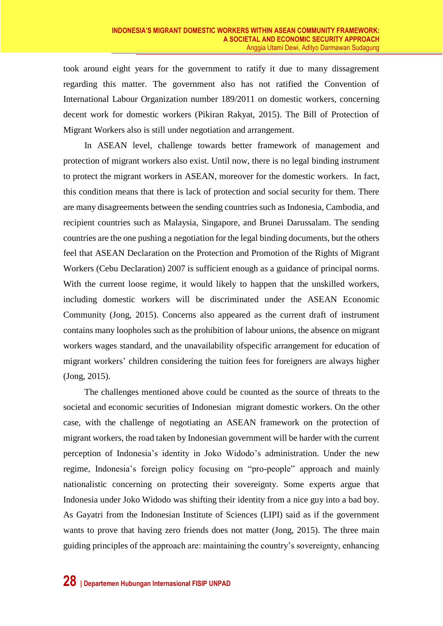took around eight years for the government to ratify it due to many dissagrement regarding this matter. The government also has not ratified the Convention of International Labour Organization number 189/2011 on domestic workers, concerning decent work for domestic workers (Pikiran Rakyat, 2015). The Bill of Protection of Migrant Workers also is still under negotiation and arrangement.

In ASEAN level, challenge towards better framework of management and protection of migrant workers also exist. Until now, there is no legal binding instrument to protect the migrant workers in ASEAN, moreover for the domestic workers. In fact, this condition means that there is lack of protection and social security for them. There are many disagreements between the sending countries such as Indonesia, Cambodia, and recipient countries such as Malaysia, Singapore, and Brunei Darussalam. The sending countries are the one pushing a negotiation for the legal binding documents, but the others feel that ASEAN Declaration on the Protection and Promotion of the Rights of Migrant Workers (Cebu Declaration) 2007 is sufficient enough as a guidance of principal norms. With the current loose regime, it would likely to happen that the unskilled workers, including domestic workers will be discriminated under the ASEAN Economic Community (Jong, 2015). Concerns also appeared as the current draft of instrument contains many loopholes such as the prohibition of labour unions, the absence on migrant workers wages standard, and the unavailability ofspecific arrangement for education of migrant workers' children considering the tuition fees for foreigners are always higher (Jong, 2015).

The challenges mentioned above could be counted as the source of threats to the societal and economic securities of Indonesian migrant domestic workers. On the other case, with the challenge of negotiating an ASEAN framework on the protection of migrant workers, the road taken by Indonesian government will be harder with the current perception of Indonesia's identity in Joko Widodo's administration. Under the new regime, Indonesia's foreign policy focusing on "pro-people" approach and mainly nationalistic concerning on protecting their sovereignty. Some experts argue that Indonesia under Joko Widodo was shifting their identity from a nice guy into a bad boy. As Gayatri from the Indonesian Institute of Sciences (LIPI) said as if the government wants to prove that having zero friends does not matter (Jong, 2015). The three main guiding principles of the approach are: maintaining the country's sovereignty, enhancing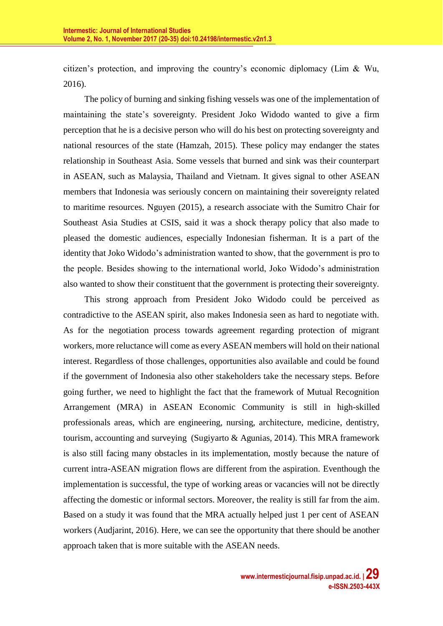citizen's protection, and improving the country's economic diplomacy (Lim & Wu, 2016).

The policy of burning and sinking fishing vessels was one of the implementation of maintaining the state's sovereignty. President Joko Widodo wanted to give a firm perception that he is a decisive person who will do his best on protecting sovereignty and national resources of the state (Hamzah, 2015). These policy may endanger the states relationship in Southeast Asia. Some vessels that burned and sink was their counterpart in ASEAN, such as Malaysia, Thailand and Vietnam. It gives signal to other ASEAN members that Indonesia was seriously concern on maintaining their sovereignty related to maritime resources. Nguyen (2015), a research associate with the Sumitro Chair for Southeast Asia Studies at CSIS, said it was a shock therapy policy that also made to pleased the domestic audiences, especially Indonesian fisherman. It is a part of the identity that Joko Widodo's administration wanted to show, that the government is pro to the people. Besides showing to the international world, Joko Widodo's administration also wanted to show their constituent that the government is protecting their sovereignty.

This strong approach from President Joko Widodo could be perceived as contradictive to the ASEAN spirit, also makes Indonesia seen as hard to negotiate with. As for the negotiation process towards agreement regarding protection of migrant workers, more reluctance will come as every ASEAN members will hold on their national interest. Regardless of those challenges, opportunities also available and could be found if the government of Indonesia also other stakeholders take the necessary steps. Before going further, we need to highlight the fact that the framework of Mutual Recognition Arrangement (MRA) in ASEAN Economic Community is still in high-skilled professionals areas, which are engineering, nursing, architecture, medicine, dentistry, tourism, accounting and surveying (Sugiyarto & Agunias, 2014). This MRA framework is also still facing many obstacles in its implementation, mostly because the nature of current intra-ASEAN migration flows are different from the aspiration. Eventhough the implementation is successful, the type of working areas or vacancies will not be directly affecting the domestic or informal sectors. Moreover, the reality is still far from the aim. Based on a study it was found that the MRA actually helped just 1 per cent of ASEAN workers (Audjarint, 2016). Here, we can see the opportunity that there should be another approach taken that is more suitable with the ASEAN needs.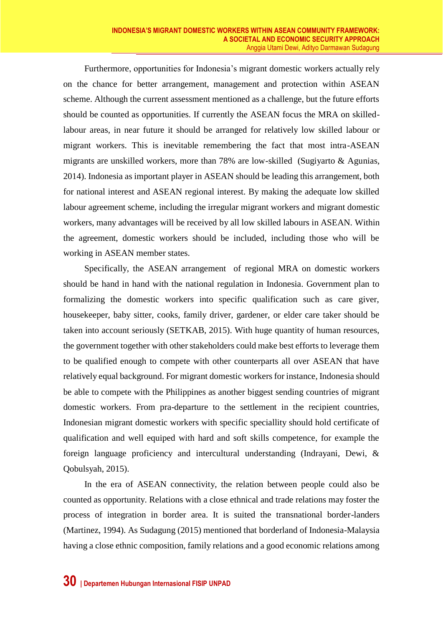Furthermore, opportunities for Indonesia's migrant domestic workers actually rely on the chance for better arrangement, management and protection within ASEAN scheme. Although the current assessment mentioned as a challenge, but the future efforts should be counted as opportunities. If currently the ASEAN focus the MRA on skilledlabour areas, in near future it should be arranged for relatively low skilled labour or migrant workers. This is inevitable remembering the fact that most intra-ASEAN migrants are unskilled workers, more than 78% are low-skilled (Sugiyarto & Agunias, 2014). Indonesia as important player in ASEAN should be leading this arrangement, both for national interest and ASEAN regional interest. By making the adequate low skilled labour agreement scheme, including the irregular migrant workers and migrant domestic workers, many advantages will be received by all low skilled labours in ASEAN. Within the agreement, domestic workers should be included, including those who will be working in ASEAN member states.

Specifically, the ASEAN arrangement of regional MRA on domestic workers should be hand in hand with the national regulation in Indonesia. Government plan to formalizing the domestic workers into specific qualification such as care giver, housekeeper, baby sitter, cooks, family driver, gardener, or elder care taker should be taken into account seriously (SETKAB, 2015). With huge quantity of human resources, the government together with other stakeholders could make best efforts to leverage them to be qualified enough to compete with other counterparts all over ASEAN that have relatively equal background. For migrant domestic workers for instance, Indonesia should be able to compete with the Philippines as another biggest sending countries of migrant domestic workers. From pra-departure to the settlement in the recipient countries, Indonesian migrant domestic workers with specific speciallity should hold certificate of qualification and well equiped with hard and soft skills competence, for example the foreign language proficiency and intercultural understanding (Indrayani, Dewi, & Qobulsyah, 2015).

In the era of ASEAN connectivity, the relation between people could also be counted as opportunity. Relations with a close ethnical and trade relations may foster the process of integration in border area. It is suited the transnational border-landers (Martinez, 1994). As Sudagung (2015) mentioned that borderland of Indonesia-Malaysia having a close ethnic composition, family relations and a good economic relations among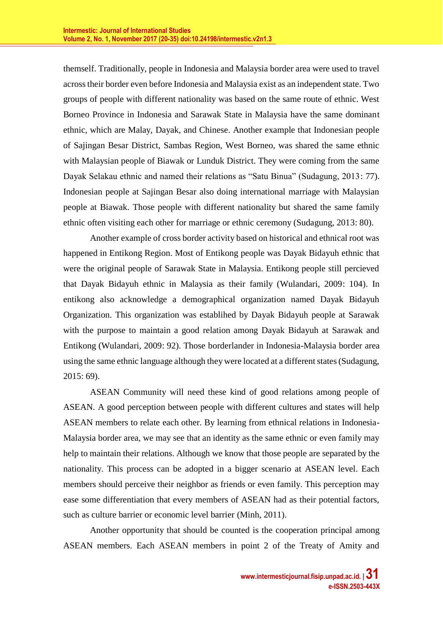themself. Traditionally, people in Indonesia and Malaysia border area were used to travel across their border even before Indonesia and Malaysia exist as an independent state. Two groups of people with different nationality was based on the same route of ethnic. West Borneo Province in Indonesia and Sarawak State in Malaysia have the same dominant ethnic, which are Malay, Dayak, and Chinese. Another example that Indonesian people of Sajingan Besar District, Sambas Region, West Borneo, was shared the same ethnic with Malaysian people of Biawak or Lunduk District. They were coming from the same Dayak Selakau ethnic and named their relations as "Satu Binua" (Sudagung, 2013: 77). Indonesian people at Sajingan Besar also doing international marriage with Malaysian people at Biawak. Those people with different nationality but shared the same family ethnic often visiting each other for marriage or ethnic ceremony (Sudagung, 2013: 80).

Another example of cross border activity based on historical and ethnical root was happened in Entikong Region. Most of Entikong people was Dayak Bidayuh ethnic that were the original people of Sarawak State in Malaysia. Entikong people still percieved that Dayak Bidayuh ethnic in Malaysia as their family (Wulandari, 2009: 104). In entikong also acknowledge a demographical organization named Dayak Bidayuh Organization. This organization was establihed by Dayak Bidayuh people at Sarawak with the purpose to maintain a good relation among Dayak Bidayuh at Sarawak and Entikong (Wulandari, 2009: 92). Those borderlander in Indonesia-Malaysia border area using the same ethnic language although they were located at a different states (Sudagung, 2015: 69).

ASEAN Community will need these kind of good relations among people of ASEAN. A good perception between people with different cultures and states will help ASEAN members to relate each other. By learning from ethnical relations in Indonesia-Malaysia border area, we may see that an identity as the same ethnic or even family may help to maintain their relations. Although we know that those people are separated by the nationality. This process can be adopted in a bigger scenario at ASEAN level. Each members should perceive their neighbor as friends or even family. This perception may ease some differentiation that every members of ASEAN had as their potential factors, such as culture barrier or economic level barrier (Minh, 2011).

Another opportunity that should be counted is the cooperation principal among ASEAN members. Each ASEAN members in point 2 of the Treaty of Amity and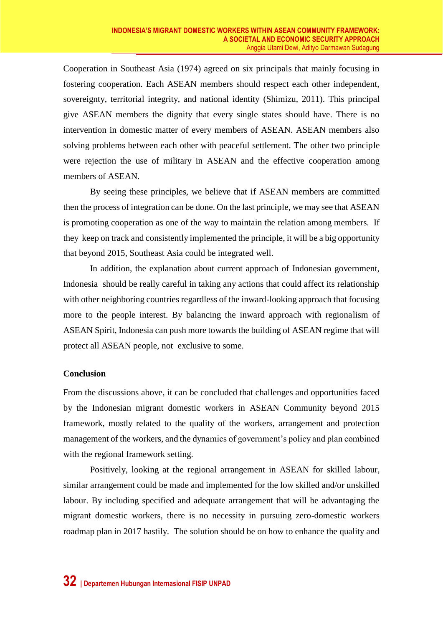Cooperation in Southeast Asia (1974) agreed on six principals that mainly focusing in fostering cooperation. Each ASEAN members should respect each other independent, sovereignty, territorial integrity, and national identity (Shimizu, 2011). This principal give ASEAN members the dignity that every single states should have. There is no intervention in domestic matter of every members of ASEAN. ASEAN members also solving problems between each other with peaceful settlement. The other two principle were rejection the use of military in ASEAN and the effective cooperation among members of ASEAN.

By seeing these principles, we believe that if ASEAN members are committed then the process of integration can be done. On the last principle, we may see that ASEAN is promoting cooperation as one of the way to maintain the relation among members. If they keep on track and consistently implemented the principle, it will be a big opportunity that beyond 2015, Southeast Asia could be integrated well.

In addition, the explanation about current approach of Indonesian government, Indonesia should be really careful in taking any actions that could affect its relationship with other neighboring countries regardless of the inward-looking approach that focusing more to the people interest. By balancing the inward approach with regionalism of ASEAN Spirit, Indonesia can push more towards the building of ASEAN regime that will protect all ASEAN people, not exclusive to some.

## **Conclusion**

From the discussions above, it can be concluded that challenges and opportunities faced by the Indonesian migrant domestic workers in ASEAN Community beyond 2015 framework, mostly related to the quality of the workers, arrangement and protection management of the workers, and the dynamics of government's policy and plan combined with the regional framework setting.

Positively, looking at the regional arrangement in ASEAN for skilled labour, similar arrangement could be made and implemented for the low skilled and/or unskilled labour. By including specified and adequate arrangement that will be advantaging the migrant domestic workers, there is no necessity in pursuing zero-domestic workers roadmap plan in 2017 hastily. The solution should be on how to enhance the quality and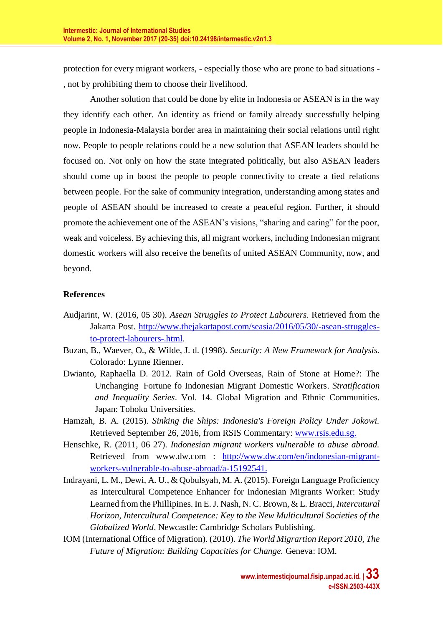protection for every migrant workers, - especially those who are prone to bad situations - , not by prohibiting them to choose their livelihood.

Another solution that could be done by elite in Indonesia or ASEAN is in the way they identify each other. An identity as friend or family already successfully helping people in Indonesia-Malaysia border area in maintaining their social relations until right now. People to people relations could be a new solution that ASEAN leaders should be focused on. Not only on how the state integrated politically, but also ASEAN leaders should come up in boost the people to people connectivity to create a tied relations between people. For the sake of community integration, understanding among states and people of ASEAN should be increased to create a peaceful region. Further, it should promote the achievement one of the ASEAN's visions, "sharing and caring" for the poor, weak and voiceless. By achieving this, all migrant workers, including Indonesian migrant domestic workers will also receive the benefits of united ASEAN Community, now, and beyond.

# **References**

- Audjarint, W. (2016, 05 30). *Asean Struggles to Protect Labourers*. Retrieved from the Jakarta Post. [http://www.thejakartapost.com/seasia/2016/05/30/-asean-struggles](http://www.thejakartapost.com/seasia/2016/05/30/-asean-struggles-to-protect-laborers-.html)[to-protect-labourers-.html.](http://www.thejakartapost.com/seasia/2016/05/30/-asean-struggles-to-protect-laborers-.html)
- Buzan, B., Waever, O., & Wilde, J. d. (1998). *Security: A New Framework for Analysis.* Colorado: Lynne Rienner.
- Dwianto, Raphaella D. 2012*.* Rain of Gold Overseas, Rain of Stone at Home?: The Unchanging Fortune fo Indonesian Migrant Domestic Workers. *Stratification and Inequality Series*. Vol. 14. Global Migration and Ethnic Communities. Japan: Tohoku Universities.
- Hamzah, B. A. (2015). *Sinking the Ships: Indonesia's Foreign Policy Under Jokowi.* Retrieved September 26, 2016, from RSIS Commentary: [www.rsis.edu.sg.](http://www.rsis.edu.sg/)
- Henschke, R. (2011, 06 27). *Indonesian migrant workers vulnerable to abuse abroad.* Retrieved from www.dw.com : [http://www.dw.com/en/indonesian-migrant](http://www.dw.com/en/indonesian-migrant-workers-vulnerable-to-abuse-abroad/a-15192541)[workers-vulnerable-to-abuse-abroad/a-15192541.](http://www.dw.com/en/indonesian-migrant-workers-vulnerable-to-abuse-abroad/a-15192541)
- Indrayani, L. M., Dewi, A. U., & Qobulsyah, M. A. (2015). Foreign Language Proficiency as Intercultural Competence Enhancer for Indonesian Migrants Worker: Study Learned from the Phillipines. In E. J. Nash, N. C. Brown, & L. Bracci, *Intercutural Horizon, Intercultural Competence: Key to the New Multicultural Societies of the Globalized World*. Newcastle: Cambridge Scholars Publishing.
- IOM (International Office of Migration). (2010). *The World Migrartion Report 2010, The Future of Migration: Building Capacities for Change.* Geneva: IOM.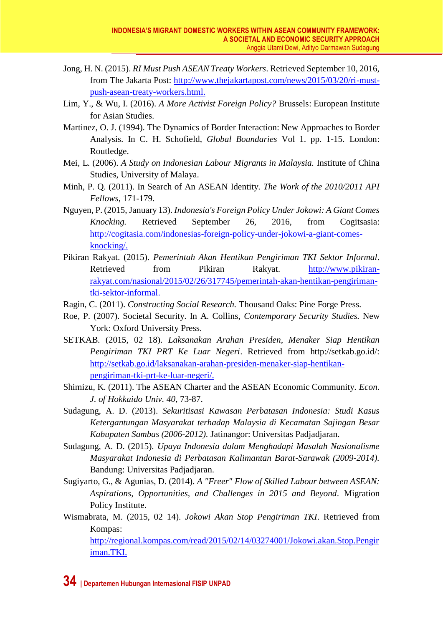- Jong, H. N. (2015). *RI Must Push ASEAN Treaty Workers*. Retrieved September 10, 2016, from The Jakarta Post: [http://www.thejakartapost.com/news/2015/03/20/ri-must](http://www.thejakartapost.com/news/2015/03/20/ri-must-push-asean-treaty-workers.html)[push-asean-treaty-workers.html.](http://www.thejakartapost.com/news/2015/03/20/ri-must-push-asean-treaty-workers.html)
- Lim, Y., & Wu, I. (2016). *A More Activist Foreign Policy?* Brussels: European Institute for Asian Studies.
- Martinez, O. J. (1994). The Dynamics of Border Interaction: New Approaches to Border Analysis. In C. H. Schofield, *Global Boundaries* Vol 1. pp. 1-15. London: Routledge.
- Mei, L. (2006). *A Study on Indonesian Labour Migrants in Malaysia.* Institute of China Studies, University of Malaya.
- Minh, P. Q. (2011). In Search of An ASEAN Identity. *The Work of the 2010/2011 API Fellows*, 171-179.
- Nguyen, P. (2015, January 13). *Indonesia's Foreign Policy Under Jokowi: A Giant Comes Knocking.* Retrieved September 26, 2016, from Cogitsasia: [http://cogitasia.com/indonesias-foreign-policy-under-jokowi-a-giant-comes](http://cogitasia.com/indonesias-foreign-policy-under-jokowi-a-giant-comes-knocking/)[knocking/.](http://cogitasia.com/indonesias-foreign-policy-under-jokowi-a-giant-comes-knocking/)
- Pikiran Rakyat. (2015). *Pemerintah Akan Hentikan Pengiriman TKI Sektor Informal*. Retrieved from Pikiran Rakyat. [http://www.pikiran](http://www.pikiran-rakyat.com/nasional/2015/02/26/317745/pemerintah-akan-hentikan-pengiriman-tki-sektor-informal)[rakyat.com/nasional/2015/02/26/317745/pemerintah-akan-hentikan-pengiriman](http://www.pikiran-rakyat.com/nasional/2015/02/26/317745/pemerintah-akan-hentikan-pengiriman-tki-sektor-informal)[tki-sektor-informal.](http://www.pikiran-rakyat.com/nasional/2015/02/26/317745/pemerintah-akan-hentikan-pengiriman-tki-sektor-informal)
- Ragin, C. (2011). *Constructing Social Research.* Thousand Oaks: Pine Forge Press.
- Roe, P. (2007). Societal Security. In A. Collins, *Contemporary Security Studies.* New York: Oxford University Press.
- SETKAB. (2015, 02 18). *Laksanakan Arahan Presiden, Menaker Siap Hentikan Pengiriman TKI PRT Ke Luar Negeri*. Retrieved from http://setkab.go.id/: [http://setkab.go.id/laksanakan-arahan-presiden-menaker-siap-hentikan](http://setkab.go.id/laksanakan-arahan-presiden-menaker-siap-hentikan-pengiriman-tki-prt-ke-luar-negeri/)[pengiriman-tki-prt-ke-luar-negeri/.](http://setkab.go.id/laksanakan-arahan-presiden-menaker-siap-hentikan-pengiriman-tki-prt-ke-luar-negeri/)
- Shimizu, K. (2011). The ASEAN Charter and the ASEAN Economic Community. *Econ. J. of Hokkaido Univ. 40*, 73-87.
- Sudagung, A. D. (2013). *Sekuritisasi Kawasan Perbatasan Indonesia: Studi Kasus Ketergantungan Masyarakat terhadap Malaysia di Kecamatan Sajingan Besar Kabupaten Sambas (2006-2012).* Jatinangor: Universitas Padjadjaran.
- Sudagung, A. D. (2015). *Upaya Indonesia dalam Menghadapi Masalah Nasionalisme Masyarakat Indonesia di Perbatasan Kalimantan Barat-Sarawak (2009-2014).* Bandung: Universitas Padjadjaran.
- Sugiyarto, G., & Agunias, D. (2014). *A "Freer" Flow of Skilled Labour between ASEAN: Aspirations, Opportunities, and Challenges in 2015 and Beyond.* Migration Policy Institute.
- Wismabrata, M. (2015, 02 14). *Jokowi Akan Stop Pengiriman TKI*. Retrieved from Kompas:

[http://regional.kompas.com/read/2015/02/14/03274001/Jokowi.akan.Stop.Pengir](http://regional.kompas.com/read/2015/02/14/03274001/Jokowi.akan.Stop.Pengiriman.TKI) [iman.TKI.](http://regional.kompas.com/read/2015/02/14/03274001/Jokowi.akan.Stop.Pengiriman.TKI)